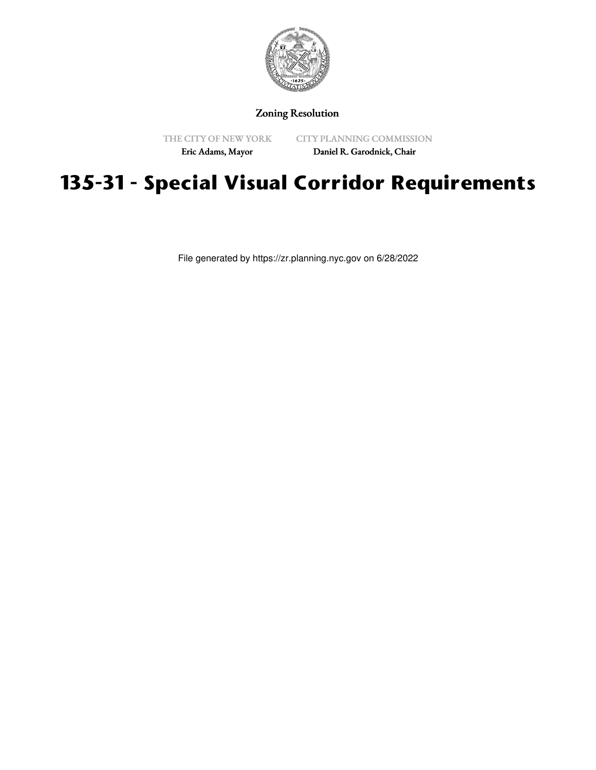

## Zoning Resolution

THE CITY OF NEW YORK Eric Adams, Mayor

CITY PLANNING COMMISSION Daniel R. Garodnick, Chair

## **135-31 - Special Visual Corridor Requirements**

File generated by https://zr.planning.nyc.gov on 6/28/2022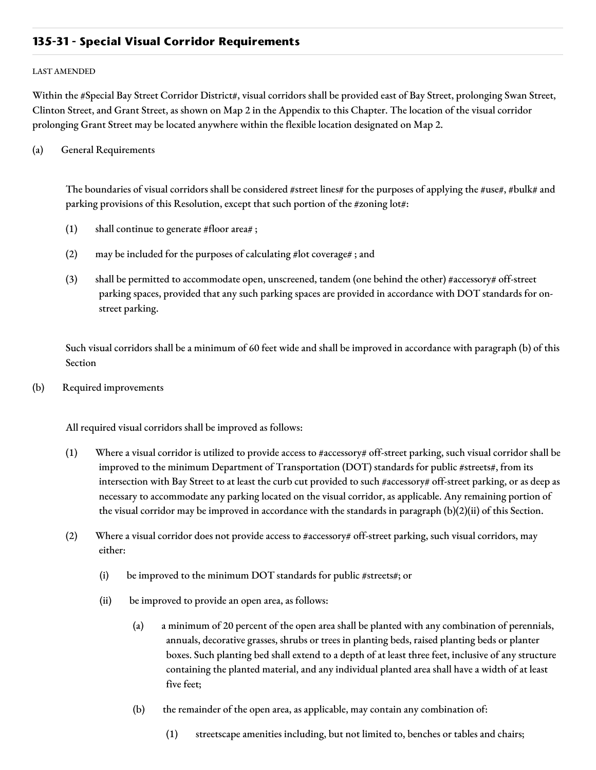## **135-31 - Special Visual Corridor Requirements**

## LAST AMENDED

Within the #Special Bay Street Corridor District#, visual corridors shall be provided east of Bay Street, prolonging Swan Street, Clinton Street, and Grant Street, as shown on Map 2 in the Appendix to this Chapter. The location of the visual corridor prolonging Grant Street may be located anywhere within the flexible location designated on Map 2.

(a) General Requirements

The boundaries of visual corridors shall be considered #street lines# for the purposes of applying the #use#, #bulk# and parking provisions of this Resolution, except that such portion of the #zoning lot#:

- (1) shall continue to generate #floor area# ;
- (2) may be included for the purposes of calculating #lot coverage# ; and
- (3) shall be permitted to accommodate open, unscreened, tandem (one behind the other) #accessory# off-street parking spaces, provided that any such parking spaces are provided in accordance with DOT standards for onstreet parking.

Such visual corridors shall be a minimum of 60 feet wide and shall be improved in accordance with paragraph (b) of this Section

(b) Required improvements

All required visual corridors shall be improved as follows:

- (1) Where a visual corridor is utilized to provide access to #accessory# off-street parking, such visual corridor shall be improved to the minimum Department of Transportation (DOT) standards for public #streets#, from its intersection with Bay Street to at least the curb cut provided to such #accessory# off-street parking, or as deep as necessary to accommodate any parking located on the visual corridor, as applicable. Any remaining portion of the visual corridor may be improved in accordance with the standards in paragraph (b)(2)(ii) of this Section.
- (2) Where a visual corridor does not provide access to #accessory# off-street parking, such visual corridors, may either:
	- (i) be improved to the minimum DOT standards for public #streets#; or
	- (ii) be improved to provide an open area, as follows:
		- (a) a minimum of 20 percent of the open area shall be planted with any combination of perennials, annuals, decorative grasses, shrubs or trees in planting beds, raised planting beds or planter boxes. Such planting bed shall extend to a depth of at least three feet, inclusive of any structure containing the planted material, and any individual planted area shall have a width of at least five feet;
		- (b) the remainder of the open area, as applicable, may contain any combination of:
			- (1) streetscape amenities including, but not limited to, benches or tables and chairs;